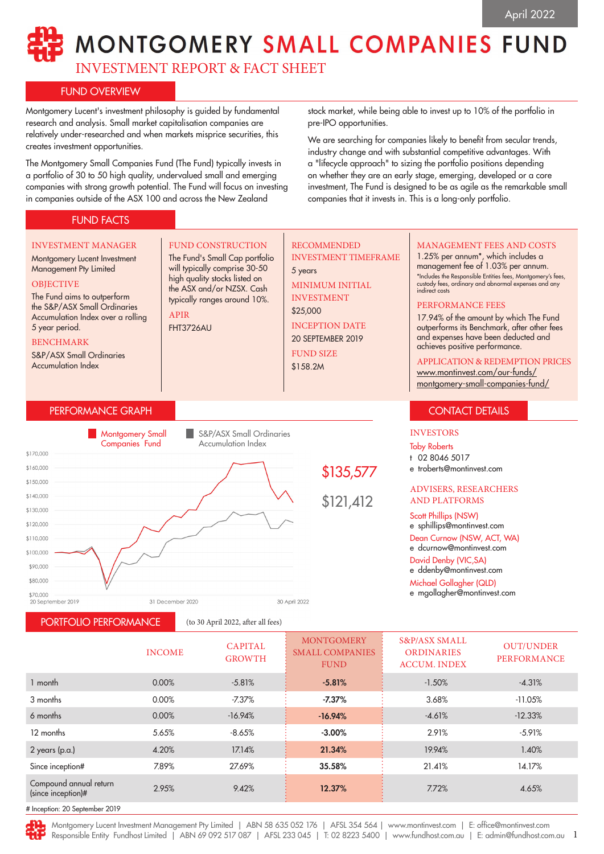# MONTGOMERY SMALL COMPANIES FUND

INVESTMENT REPORT & FACT SHEET

## FUND OVERVIEW

Montgomery Lucent's investment philosophy is guided by fundamental research and analysis. Small market capitalisation companies are relatively under-researched and when markets misprice securities, this creates investment opportunities.

The Montgomery Small Companies Fund (The Fund) typically invests in a portfolio of 30 to 50 high quality, undervalued small and emerging companies with strong growth potential. The Fund will focus on investing in companies outside of the ASX 100 and across the New Zealand

# FUND FACTS

stock market, while being able to invest up to 10% of the portfolio in pre-IPO opportunities.

We are searching for companies likely to benefit from secular trends, industry change and with substantial competitive advantages. With a "lifecycle approach" to sizing the portfolio positions depending on whether they are an early stage, emerging, developed or a core investment, The Fund is designed to be as agile as the remarkable small companies that it invests in. This is a long-only portfolio.



INCOME CAPITAL GROWTH **MONTGOMERY** SMALL COMPANIES **FUND** S&P/ASX SMALL ORDINARIES ACCUM. INDEX OUT/UNDER **PERFORMANCE** 1 month 0.00% -5.81% : **-5.81% : -1**.50% -4.31% 3 months 0.00% *-7.*37% **-7.37%** 3.68% -11.05% 6 months 0.00% -16.94% **-16.94% -**4.61% -12.33% 12 months 5.65% -8.65% -3.00% 2.91% -5.91% 2 years (p.a.) 4.20% 17.14% **21.34%** 19.94% 1.40% Since inception# 7.89% 27.69% 35.58% 21.41% 14.17% Compound annual return  $\frac{12.37\%}{\%}$  2.95% 2.95% 9.42% 12.37% 7.72% 7.72% 4.65%

# Inception: 20 September 2019

PORTFOLIO PERFORMANCE (to 30 April 2022, after all fees)

Montgomery Lucent Investment Management Pty Limited | ABN 58 635 052 176 | AFSL 354 564 | www.montinvest.com | E: office@montinvest.com

1 Responsible Entity Fundhost Limited | ABN 69 092 517 087 | AFSL 233 045 | T: 02 8223 5400 | www.fundhost.com.au | E: admin@fundhost.com.au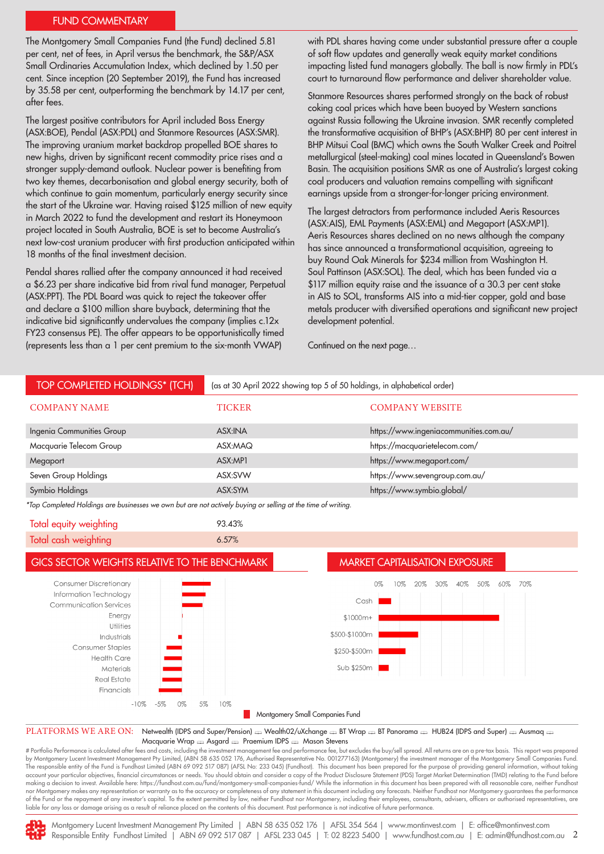#### FUND COMMENTARY

The Montgomery Small Companies Fund (the Fund) declined 5.81 per cent, net of fees, in April versus the benchmark, the S&P/ASX Small Ordinaries Accumulation Index, which declined by 1.50 per cent. Since inception (20 September 2019), the Fund has increased by 35.58 per cent, outperforming the benchmark by 14.17 per cent, after fees.

The largest positive contributors for April included Boss Energy (ASX:BOE), Pendal (ASX:PDL) and Stanmore Resources (ASX:SMR). The improving uranium market backdrop propelled BOE shares to new highs, driven by significant recent commodity price rises and a stronger supply-demand outlook. Nuclear power is benefiting from two key themes, decarbonisation and global energy security, both of which continue to gain momentum, particularly energy security since the start of the Ukraine war. Having raised \$125 million of new equity in March 2022 to fund the development and restart its Honeymoon project located in South Australia, BOE is set to become Australia's next low-cost uranium producer with first production anticipated within 18 months of the final investment decision.

Pendal shares rallied after the company announced it had received a \$6.23 per share indicative bid from rival fund manager, Perpetual (ASX:PPT). The PDL Board was quick to reject the takeover offer and declare a \$100 million share buyback, determining that the indicative bid significantly undervalues the company (implies c.12x FY23 consensus PE). The offer appears to be opportunistically timed (represents less than a 1 per cent premium to the six-month VWAP)

with PDL shares having come under substantial pressure after a couple of soft flow updates and generally weak equity market conditions impacting listed fund managers globally. The ball is now firmly in PDL's court to turnaround flow performance and deliver shareholder value.

Stanmore Resources shares performed strongly on the back of robust coking coal prices which have been buoyed by Western sanctions against Russia following the Ukraine invasion. SMR recently completed the transformative acquisition of BHP's (ASX:BHP) 80 per cent interest in BHP Mitsui Coal (BMC) which owns the South Walker Creek and Poitrel metallurgical (steel-making) coal mines located in Queensland's Bowen Basin. The acquisition positions SMR as one of Australia's largest coking coal producers and valuation remains compelling with significant earnings upside from a stronger-for-longer pricing environment.

The largest detractors from performance included Aeris Resources (ASX:AIS), EML Payments (ASX:EML) and Megaport (ASX:MP1). Aeris Resources shares declined on no news although the company has since announced a transformational acquisition, agreeing to buy Round Oak Minerals for \$234 million from Washington H. Soul Pattinson (ASX:SOL). The deal, which has been funded via a \$117 million equity raise and the issuance of a 30.3 per cent stake in AIS to SOL, transforms AIS into a mid-tier copper, gold and base metals producer with diversified operations and significant new project development potential.

Continued on the next page…

| <b>TOP COMPLETED HOLDINGS* (TCH)</b>                                                                                                                                                                     | (as at 30 April 2022 showing top 5 of 50 holdings, in alphabetical order) |                                                     |
|----------------------------------------------------------------------------------------------------------------------------------------------------------------------------------------------------------|---------------------------------------------------------------------------|-----------------------------------------------------|
| <b>COMPANY NAME</b>                                                                                                                                                                                      | <b>TICKER</b>                                                             | <b>COMPANY WEBSITE</b>                              |
| Ingenia Communities Group                                                                                                                                                                                | ASX:INA                                                                   | https://www.ingeniacommunities.com.au/              |
| Macquarie Telecom Group                                                                                                                                                                                  | ASX:MAQ                                                                   | https://macquarietelecom.com/                       |
| Megaport                                                                                                                                                                                                 | ASX:MP1                                                                   | https://www.megaport.com/                           |
| Seven Group Holdings                                                                                                                                                                                     | ASX:SVW                                                                   | https://www.sevengroup.com.au/                      |
| Symbio Holdings                                                                                                                                                                                          | ASX:SYM                                                                   | https://www.symbio.global/                          |
| *Top Completed Holdings are businesses we own but are not actively buying or selling at the time of writing.                                                                                             |                                                                           |                                                     |
| Total equity weighting                                                                                                                                                                                   | 93.43%                                                                    |                                                     |
| Total cash weighting                                                                                                                                                                                     | 6.57%                                                                     |                                                     |
| GICS SECTOR WEIGHTS RELATIVE TO THE BENCHMARK<br><b>MARKET CAPITALISATION EXPOSURE</b>                                                                                                                   |                                                                           |                                                     |
| <b>Consumer Discretionary</b>                                                                                                                                                                            |                                                                           | 50%<br>70%<br>0%<br>10%<br>20%<br>30%<br>40%<br>60% |
| Information Technology                                                                                                                                                                                   |                                                                           | Cash                                                |
| <b>Communication Services</b><br>Energy                                                                                                                                                                  |                                                                           |                                                     |
| Utilities                                                                                                                                                                                                | $$1000m+$                                                                 |                                                     |
| Industrials                                                                                                                                                                                              | \$500-\$1000m                                                             |                                                     |
| <b>Consumer Staples</b>                                                                                                                                                                                  | \$250-\$500m                                                              |                                                     |
| <b>Health Care</b>                                                                                                                                                                                       |                                                                           |                                                     |
| Materials<br><b>Real Estate</b>                                                                                                                                                                          | Sub \$250m                                                                |                                                     |
| Financials                                                                                                                                                                                               |                                                                           |                                                     |
| $-10%$<br>$-5%$<br>0%<br>5%<br>10%                                                                                                                                                                       |                                                                           |                                                     |
| Montgomery Small Companies Fund                                                                                                                                                                          |                                                                           |                                                     |
| PLATFORMS WE ARE ON:<br>Netwealth (IDPS and Super/Pension) = Wealth02/uXchange = BT Wrap = BT Panorama = HUB24 (IDPS and Super) = Ausmaq =<br>Macquarie Wrap en Asgard en Praemium IDPS en Mason Stevens |                                                                           |                                                     |

# Portfolio Performance is calculated after fees and costs, including the investment management fee and performance fee, but excludes the buy/sell spread. All returns are on a pre-tax basis. This report was prepared by Montgomery Lucent Investment Management Pty Limited, (ABN 58 635 052 176, Authorised Representative No. 001277163) (Montgomery) the investment manager of the Montgomery Small Companies Fund. The responsible entity of the Fund is Fundhost Limited (ABN 69 092 517 087) (AFSL No: 233 045) (Fundhost). This document has been prepared for the purpose of providing general information, without taking account your particular objectives, financial circumstances or needs. You should obtain and consider a copy of the Product Disclosure Statement (PDS) Target Market Determination (TMD) relating to the Fund before making a decision to invest. Available here: https://fundhost.com.au/fund/montgomery-small-companies-fund/ While the information in this document has been prepared with all reasonable care, neither Fundhost nor Montgomery makes any representation or warranty as to the accuracy or completeness of any statement in this document including any forecasts. Neither Fundhost nor Montgomery guarantees the performance of the Fund or the repayment of any investor's capital. To the extent permitted by law, neither Fundhost nor Montgomery, including their employees, consultants, advisers, officers or authorised representatives, are liable for any loss or damage arising as a result of reliance placed on the contents of this document. Past performance is not indicative of future performance.